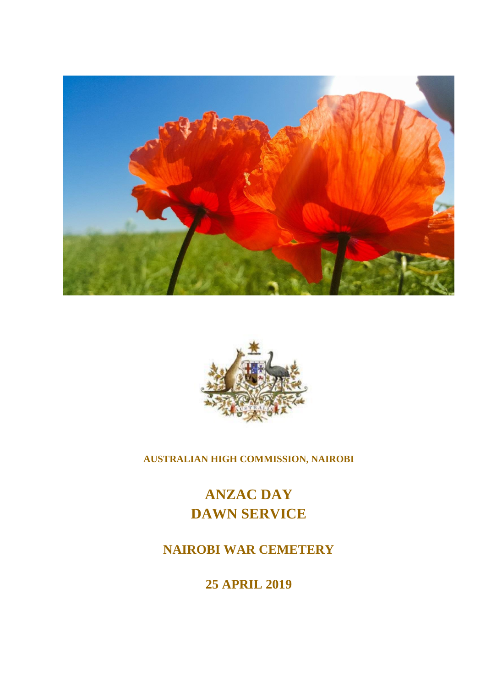



**AUSTRALIAN HIGH COMMISSION, NAIROBI**

# **ANZAC DAY DAWN SERVICE**

# **NAIROBI WAR CEMETERY**

### **25 APRIL 2019**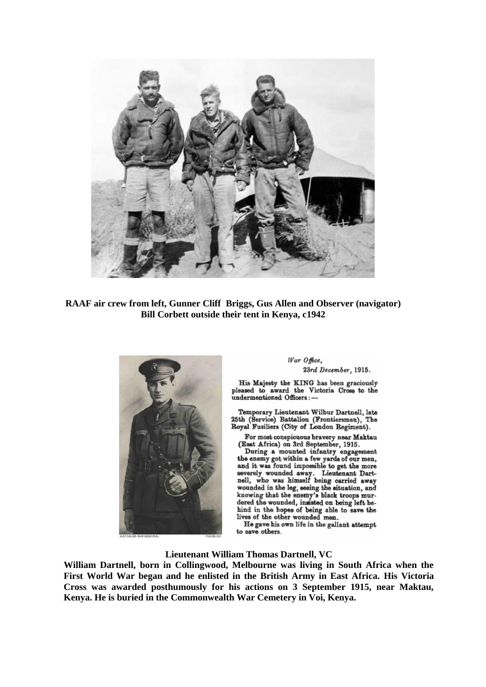

**RAAF air crew from left, Gunner Cliff Briggs, Gus Allen and Observer (navigator) Bill Corbett outside their tent in Kenya, c1942**



War Office, 23rd December, 1915.

His Majesty the KING has been graciously pleased to award the Victoria Cross to the undermentioned Officers:-

Temporary Lieutenant Wilbur Dartnell, late 25th (Service) Battalion (Frontiersmen), The Royal Fusiliers (City of London Regiment).

For most conspicuous bravery near Maktau (East Africa) on 3rd September, 1915.

During a mounted infantry engagement the enemy got within a few yards of our men, and it was found impossible to get the more severely wounded away. Lieutenant Dart-nell, who was himself being carried away wounded in the leg, seeing the situation, and knowing that the enemy's black troops murdered the wounded, insisted on being left behind in the hopes of being able to save the lives of the other wounded men.

He gave his own life in the gallant attempt to save others.

**Lieutenant William Thomas Dartnell, VC**

**William Dartnell, born in Collingwood, Melbourne was living in South Africa when the First World War began and he enlisted in the British Army in East Africa. His Victoria Cross was awarded posthumously for his actions on 3 September 1915, near Maktau, Kenya. He is buried in the Commonwealth War Cemetery in Voi, Kenya.**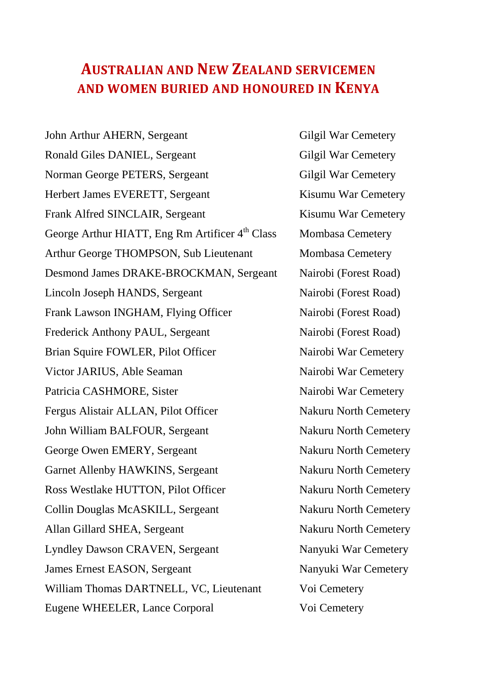# **AUSTRALIAN AND NEW ZEALAND SERVICEMEN AND WOMEN BURIED AND HONOURED IN KENYA**

John Arthur AHERN, Sergeant Gilgil War Cemetery Ronald Giles DANIEL, Sergeant Gilgil War Cemetery Norman George PETERS, Sergeant Gilgil War Cemetery Herbert James EVERETT, Sergeant Kisumu War Cemetery Frank Alfred SINCLAIR, Sergeant Kisumu War Cemetery George Arthur HIATT, Eng Rm Artificer 4<sup>th</sup> Class Mombasa Cemetery Arthur George THOMPSON, Sub Lieutenant Mombasa Cemetery Desmond James DRAKE-BROCKMAN, Sergeant Nairobi (Forest Road) Lincoln Joseph HANDS, Sergeant Nairobi (Forest Road) Frank Lawson INGHAM, Flying Officer Nairobi (Forest Road) Frederick Anthony PAUL, Sergeant Nairobi (Forest Road) Brian Squire FOWLER, Pilot Officer Nairobi War Cemetery Victor JARIUS, Able Seaman Patricia CASHMORE, Sister Fergus Alistair ALLAN, Pilot Officer Nakuru North Cemetery John William BALFOUR, Sergeant Nakuru North Cemetery George Owen EMERY, Sergeant Nakuru North Cemetery Garnet Allenby HAWKINS, Sergeant Nakuru North Cemetery Ross Westlake HUTTON, Pilot Officer Nakuru North Cemetery Collin Douglas McASKILL, Sergeant Nakuru North Cemetery Allan Gillard SHEA, Sergeant Nakuru North Cemetery Lyndley Dawson CRAVEN, Sergeant Nanyuki War Cemetery James Ernest EASON, Sergeant Nanyuki War Cemetery William Thomas DARTNELL, VC, Lieutenant Eugene WHEELER, Lance Corporal

Nairobi War Cemetery Nairobi War Cemetery Voi Cemetery Voi Cemetery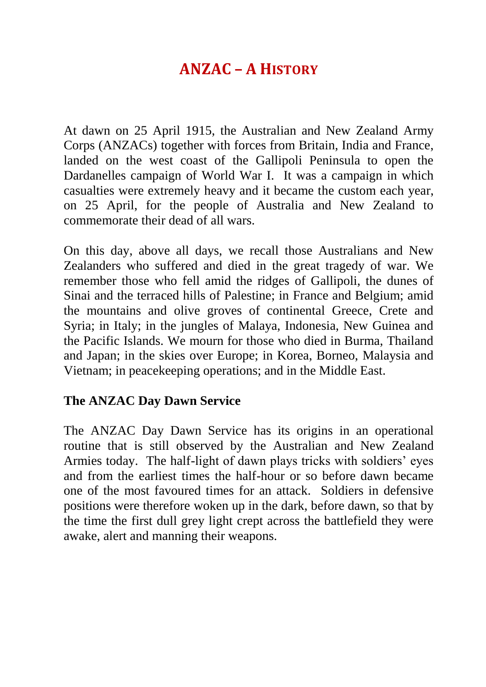# **ANZAC – A HISTORY**

At dawn on 25 April 1915, the Australian and New Zealand Army Corps (ANZACs) together with forces from Britain, India and France, landed on the west coast of the Gallipoli Peninsula to open the Dardanelles campaign of World War I. It was a campaign in which casualties were extremely heavy and it became the custom each year, on 25 April, for the people of Australia and New Zealand to commemorate their dead of all wars.

On this day, above all days, we recall those Australians and New Zealanders who suffered and died in the great tragedy of war. We remember those who fell amid the ridges of Gallipoli, the dunes of Sinai and the terraced hills of Palestine; in France and Belgium; amid the mountains and olive groves of continental Greece, Crete and Syria; in Italy; in the jungles of Malaya, Indonesia, New Guinea and the Pacific Islands. We mourn for those who died in Burma, Thailand and Japan; in the skies over Europe; in Korea, Borneo, Malaysia and Vietnam; in peacekeeping operations; and in the Middle East.

#### **The ANZAC Day Dawn Service**

The ANZAC Day Dawn Service has its origins in an operational routine that is still observed by the Australian and New Zealand Armies today. The half-light of dawn plays tricks with soldiers' eyes and from the earliest times the half-hour or so before dawn became one of the most favoured times for an attack. Soldiers in defensive positions were therefore woken up in the dark, before dawn, so that by the time the first dull grey light crept across the battlefield they were awake, alert and manning their weapons.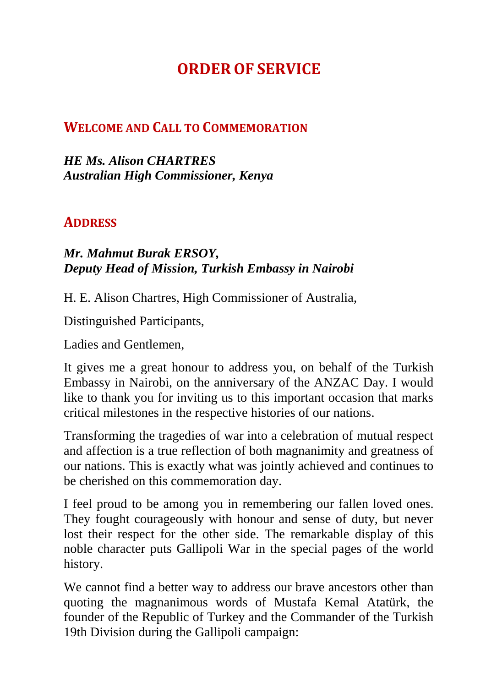# **ORDEROF SERVICE**

# **WELCOME AND CALL TO COMMEMORATION**

*HE Ms. Alison CHARTRES Australian High Commissioner, Kenya*

## **ADDRESS**

# *Mr. Mahmut Burak ERSOY, Deputy Head of Mission, Turkish Embassy in Nairobi*

H. E. Alison Chartres, High Commissioner of Australia,

Distinguished Participants,

Ladies and Gentlemen,

It gives me a great honour to address you, on behalf of the Turkish Embassy in Nairobi, on the anniversary of the ANZAC Day. I would like to thank you for inviting us to this important occasion that marks critical milestones in the respective histories of our nations.

Transforming the tragedies of war into a celebration of mutual respect and affection is a true reflection of both magnanimity and greatness of our nations. This is exactly what was jointly achieved and continues to be cherished on this commemoration day.

I feel proud to be among you in remembering our fallen loved ones. They fought courageously with honour and sense of duty, but never lost their respect for the other side. The remarkable display of this noble character puts Gallipoli War in the special pages of the world history.

We cannot find a better way to address our brave ancestors other than quoting the magnanimous words of Mustafa Kemal Atatürk, the founder of the Republic of Turkey and the Commander of the Turkish 19th Division during the Gallipoli campaign: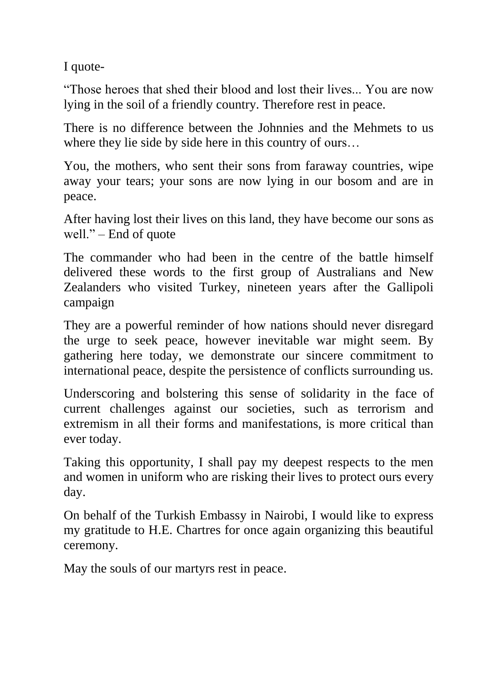I quote-

"Those heroes that shed their blood and lost their lives... You are now lying in the soil of a friendly country. Therefore rest in peace.

There is no difference between the Johnnies and the Mehmets to us where they lie side by side here in this country of ours...

You, the mothers, who sent their sons from faraway countries, wipe away your tears; your sons are now lying in our bosom and are in peace.

After having lost their lives on this land, they have become our sons as well." – End of quote

The commander who had been in the centre of the battle himself delivered these words to the first group of Australians and New Zealanders who visited Turkey, nineteen years after the Gallipoli campaign

They are a powerful reminder of how nations should never disregard the urge to seek peace, however inevitable war might seem. By gathering here today, we demonstrate our sincere commitment to international peace, despite the persistence of conflicts surrounding us.

Underscoring and bolstering this sense of solidarity in the face of current challenges against our societies, such as terrorism and extremism in all their forms and manifestations, is more critical than ever today.

Taking this opportunity, I shall pay my deepest respects to the men and women in uniform who are risking their lives to protect ours every day.

On behalf of the Turkish Embassy in Nairobi, I would like to express my gratitude to H.E. Chartres for once again organizing this beautiful ceremony.

May the souls of our martyrs rest in peace.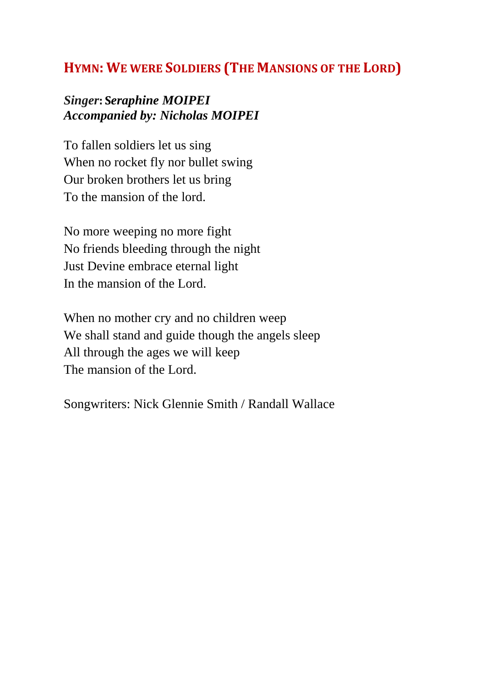# **HYMN: WE WERE SOLDIERS (THE MANSIONS OF THE LORD)**

# *Singer***: S***eraphine MOIPEI Accompanied by: Nicholas MOIPEI*

To fallen soldiers let us sing When no rocket fly nor bullet swing Our broken brothers let us bring To the mansion of the lord.

No more weeping no more fight No friends bleeding through the night Just Devine embrace eternal light In the mansion of the Lord.

When no mother cry and no children weep We shall stand and guide though the angels sleep All through the ages we will keep The mansion of the Lord.

Songwriters: Nick Glennie Smith / Randall Wallace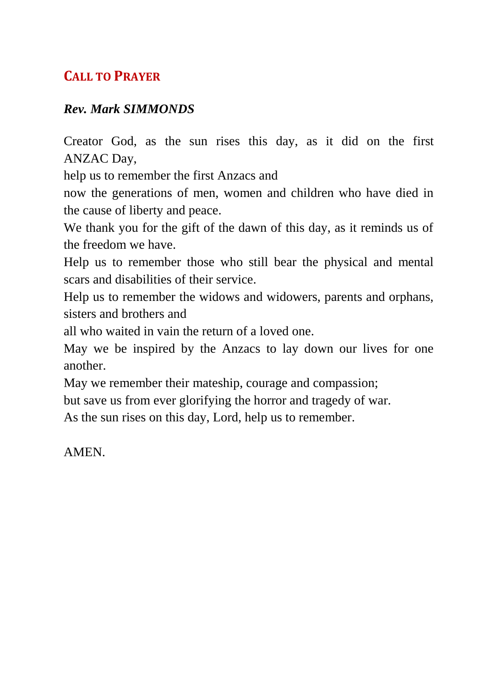# **CALL TO PRAYER**

# *Rev. Mark SIMMONDS*

Creator God, as the sun rises this day, as it did on the first ANZAC Day,

help us to remember the first Anzacs and

now the generations of men, women and children who have died in the cause of liberty and peace.

We thank you for the gift of the dawn of this day, as it reminds us of the freedom we have.

Help us to remember those who still bear the physical and mental scars and disabilities of their service.

Help us to remember the widows and widowers, parents and orphans, sisters and brothers and

all who waited in vain the return of a loved one.

May we be inspired by the Anzacs to lay down our lives for one another.

May we remember their mateship, courage and compassion;

but save us from ever glorifying the horror and tragedy of war.

As the sun rises on this day, Lord, help us to remember.

**AMEN**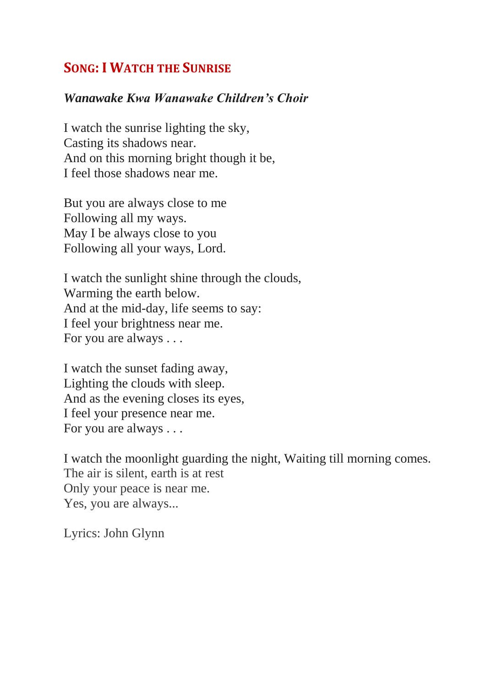# **SONG: I WATCH THE SUNRISE**

#### *Wanawake Kwa Wanawake Children's Choir*

I watch the sunrise lighting the sky, Casting its shadows near. And on this morning bright though it be, I feel those shadows near me.

But you are always close to me Following all my ways. May I be always close to you Following all your ways, Lord.

I watch the sunlight shine through the clouds, Warming the earth below. And at the mid-day, life seems to say: I feel your brightness near me. For you are always . . .

I watch the sunset fading away, Lighting the clouds with sleep. And as the evening closes its eyes, I feel your presence near me. For you are always . . .

I watch the moonlight guarding the night, Waiting till morning comes. The air is silent, earth is at rest Only your peace is near me. Yes, you are always...

Lyrics: John Glynn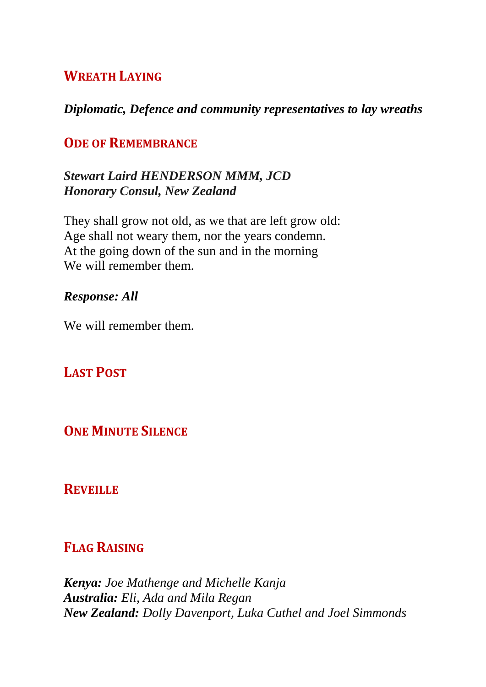# **WREATH LAYING**

# *Diplomatic, Defence and community representatives to lay wreaths*

# **ODE OF REMEMBRANCE**

#### *Stewart Laird HENDERSON MMM, JCD Honorary Consul, New Zealand*

They shall grow not old, as we that are left grow old: Age shall not weary them, nor the years condemn. At the going down of the sun and in the morning We will remember them.

### *Response: All*

We will remember them.

# **LAST POST**

### **ONE MINUTE SILENCE**

### **REVEILLE**

## **FLAG RAISING**

*Kenya: Joe Mathenge and Michelle Kanja Australia: Eli, Ada and Mila Regan New Zealand: Dolly Davenport, Luka Cuthel and Joel Simmonds*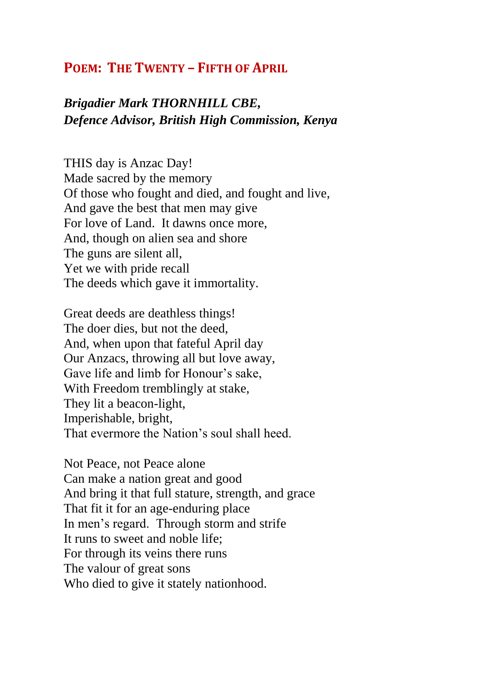#### **POEM: THE TWENTY – FIFTH OF APRIL**

# *Brigadier Mark THORNHILL CBE, Defence Advisor, British High Commission, Kenya*

THIS day is Anzac Day! Made sacred by the memory Of those who fought and died, and fought and live, And gave the best that men may give For love of Land. It dawns once more, And, though on alien sea and shore The guns are silent all, Yet we with pride recall The deeds which gave it immortality.

Great deeds are deathless things! The doer dies, but not the deed, And, when upon that fateful April day Our Anzacs, throwing all but love away, Gave life and limb for Honour's sake, With Freedom tremblingly at stake, They lit a beacon-light, Imperishable, bright, That evermore the Nation's soul shall heed.

Not Peace, not Peace alone Can make a nation great and good And bring it that full stature, strength, and grace That fit it for an age-enduring place In men's regard. Through storm and strife It runs to sweet and noble life; For through its veins there runs The valour of great sons Who died to give it stately nationhood.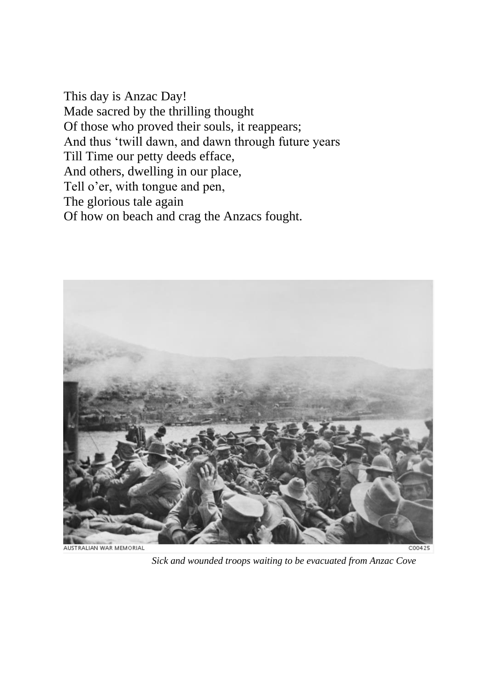This day is Anzac Day! Made sacred by the thrilling thought Of those who proved their souls, it reappears; And thus 'twill dawn, and dawn through future years Till Time our petty deeds efface, And others, dwelling in our place, Tell o'er, with tongue and pen, The glorious tale again Of how on beach and crag the Anzacs fought.



*Sick and wounded troops waiting to be evacuated from Anzac Cove*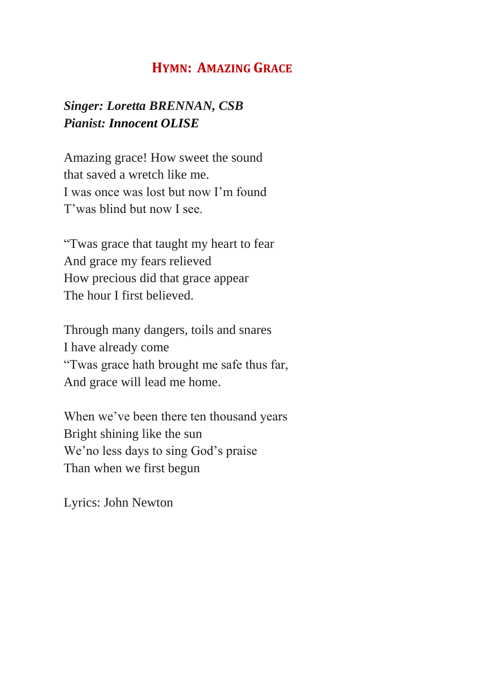# **HYMN: AMAZING GRACE**

# *Singer: Loretta BRENNAN, CSB Pianist: Innocent OLISE*

Amazing grace! How sweet the sound that saved a wretch like me. I was once was lost but now I'm found T'was blind but now I see.

"Twas grace that taught my heart to fear And grace my fears relieved How precious did that grace appear The hour I first believed.

Through many dangers, toils and snares I have already come "Twas grace hath brought me safe thus far, And grace will lead me home.

When we've been there ten thousand years Bright shining like the sun We'no less days to sing God's praise Than when we first begun

Lyrics: John Newton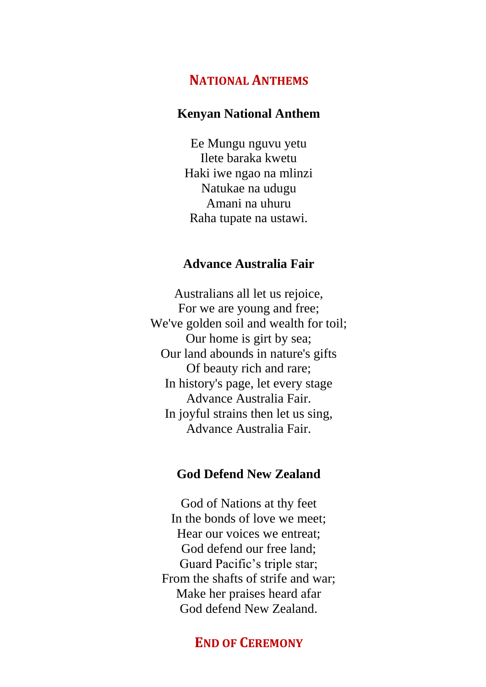#### **NATIONAL ANTHEMS**

#### **Kenyan National Anthem**

Ee Mungu nguvu yetu Ilete baraka kwetu Haki iwe ngao na mlinzi Natukae na udugu Amani na uhuru Raha tupate na ustawi.

#### **Advance Australia Fair**

Australians all let us rejoice, For we are young and free; We've golden soil and wealth for toil; Our home is girt by sea; Our land abounds in nature's gifts Of beauty rich and rare; In history's page, let every stage Advance Australia Fair. In joyful strains then let us sing, Advance Australia Fair.

#### **God Defend New Zealand**

God of Nations at thy feet In the bonds of love we meet; Hear our voices we entreat; God defend our free land; Guard Pacific's triple star; From the shafts of strife and war; Make her praises heard afar God defend New Zealand.

#### **END OF CEREMONY**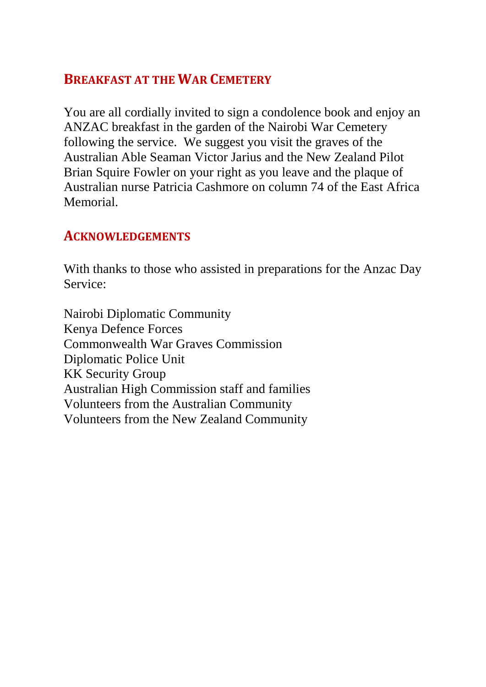# **BREAKFAST AT THE WAR CEMETERY**

You are all cordially invited to sign a condolence book and enjoy an ANZAC breakfast in the garden of the Nairobi War Cemetery following the service. We suggest you visit the graves of the Australian Able Seaman Victor Jarius and the New Zealand Pilot Brian Squire Fowler on your right as you leave and the plaque of Australian nurse Patricia Cashmore on column 74 of the East Africa Memorial.

#### **ACKNOWLEDGEMENTS**

With thanks to those who assisted in preparations for the Anzac Day Service:

Nairobi Diplomatic Community Kenya Defence Forces Commonwealth War Graves Commission Diplomatic Police Unit KK Security Group Australian High Commission staff and families Volunteers from the Australian Community Volunteers from the New Zealand Community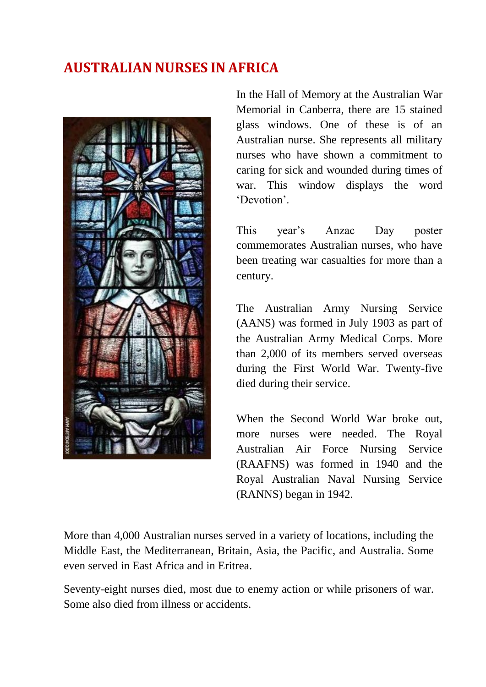# **AUSTRALIAN NURSES IN AFRICA**



In the Hall of Memory at the Australian War Memorial in Canberra, there are 15 stained glass windows. One of these is of an Australian nurse. She represents all military nurses who have shown a commitment to caring for sick and wounded during times of war. This window displays the word 'Devotion'.

This year's Anzac Day poster commemorates Australian nurses, who have been treating war casualties for more than a century.

The Australian Army Nursing Service (AANS) was formed in July 1903 as part of the Australian Army Medical Corps. More than 2,000 of its members served overseas during the First World War. Twenty-five died during their service.

When the Second World War broke out, more nurses were needed. The Royal Australian Air Force Nursing Service (RAAFNS) was formed in 1940 and the Royal Australian Naval Nursing Service (RANNS) began in 1942.

More than 4,000 Australian nurses served in a variety of locations, including the Middle East, the Mediterranean, Britain, Asia, the Pacific, and Australia. Some even served in East Africa and in Eritrea.

Seventy-eight nurses died, most due to enemy action or while prisoners of war. Some also died from illness or accidents.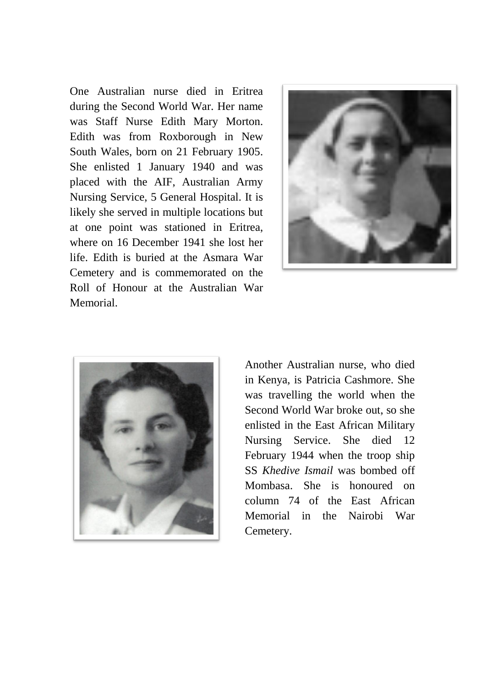One Australian nurse died in Eritrea during the Second World War. Her name was Staff Nurse Edith Mary Morton. Edith was from Roxborough in New South Wales, born on 21 February 1905. She enlisted 1 January 1940 and was placed with the AIF, Australian Army Nursing Service, 5 General Hospital. It is likely she served in multiple locations but at one point was stationed in Eritrea, where on 16 December 1941 she lost her life. Edith is buried at the Asmara War Cemetery and is commemorated on the Roll of Honour at the Australian War **Memorial** 





Another Australian nurse, who died in Kenya, is Patricia Cashmore. She was travelling the world when the Second World War broke out, so she enlisted in the East African Military Nursing Service. She died 12 February 1944 when the troop ship SS *Khedive Ismail* was bombed off Mombasa. She is honoured on column 74 of the East African Memorial in the Nairobi War Cemetery.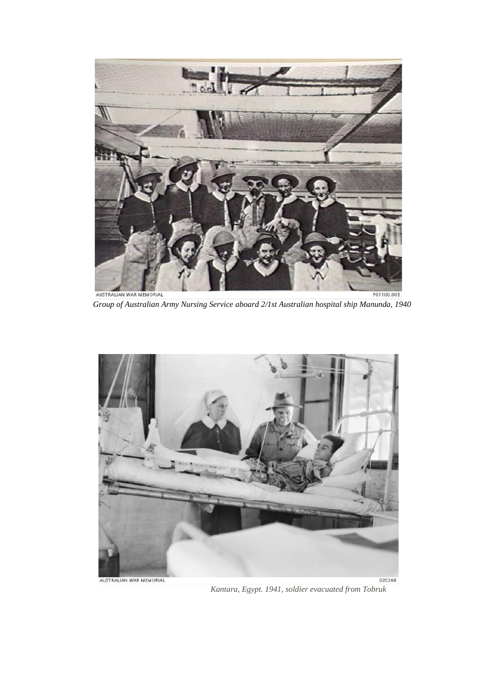

*Group of Australian Army Nursing Service aboard 2/1st Australian hospital ship Manunda, 1940*



*Kantara, Egypt. 1941, soldier evacuated from Tobruk*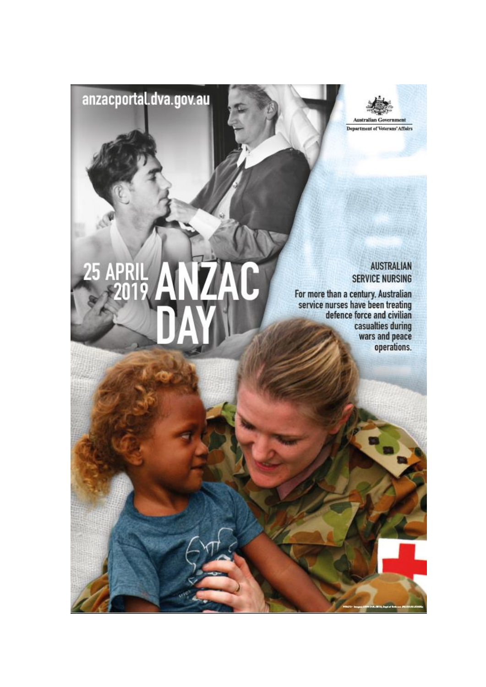anzacportal.dva.gov.au



**AUSTRALIAN SERVICE NURSING** 

He with y

For more than a century. Australian<br>service nurses have been treating<br>defence force and civilian casualties during<br>wars and peace<br>operations.